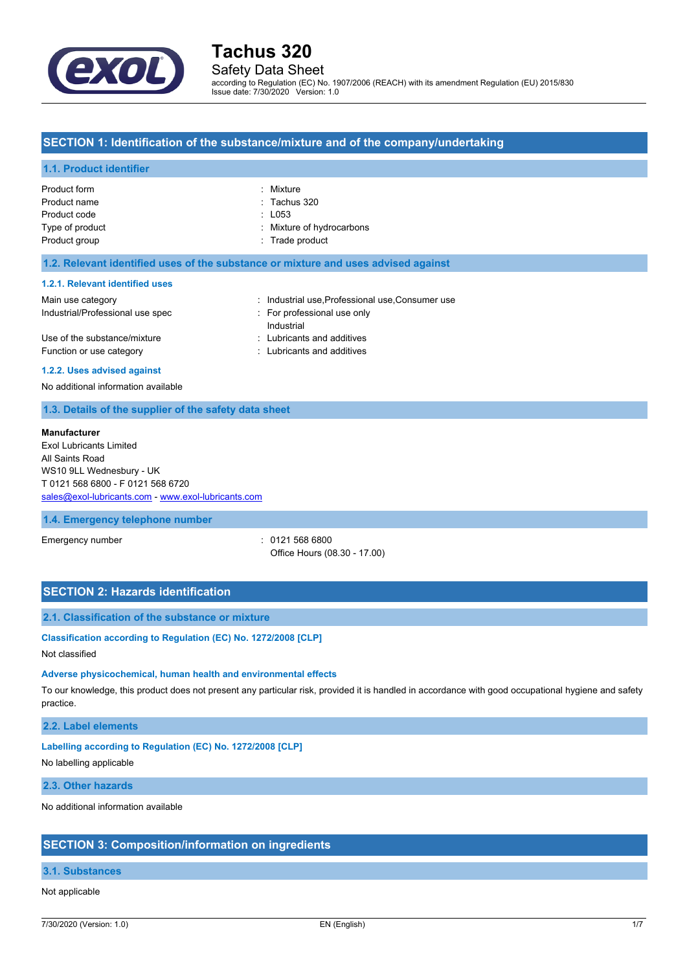

## Safety Data Sheet

according to Regulation (EC) No. 1907/2006 (REACH) with its amendment Regulation (EU) 2015/830 Issue date: 7/30/2020 Version: 1.0

### **SECTION 1: Identification of the substance/mixture and of the company/undertaking**

#### **1.1. Product identifier**

| Product form    | : Mixture                 |
|-----------------|---------------------------|
| Product name    | $:$ Tachus 320            |
| Product code    | $\therefore$ L053         |
| Type of product | : Mixture of hydrocarbons |
| Product group   | : Trade product           |
|                 |                           |

#### **1.2. Relevant identified uses of the substance or mixture and uses advised against**

#### **1.2.1. Relevant identified uses**

| Main use category                | : Industrial use, Professional use, Consumer use |
|----------------------------------|--------------------------------------------------|
| Industrial/Professional use spec | For professional use only                        |
|                                  | Industrial                                       |
| Use of the substance/mixture     | : Lubricants and additives                       |
| Function or use category         | : Lubricants and additives                       |
|                                  |                                                  |

#### **1.2.2. Uses advised against**

No additional information available

#### **1.3. Details of the supplier of the safety data sheet**

#### **Manufacturer**

Exol Lubricants Limited All Saints Road WS10 9LL Wednesbury - UK T 0121 568 6800 - F 0121 568 6720 [sales@exol-lubricants.com](mailto:sales@exol-lubricants.com) - <www.exol-lubricants.com>

#### **1.4. Emergency telephone number**

Emergency number : 0121 568 6800 Office Hours (08.30 - 17.00)

## **SECTION 2: Hazards identification**

### **2.1. Classification of the substance or mixture**

#### **Classification according to Regulation (EC) No. 1272/2008 [CLP]**

Not classified

#### **Adverse physicochemical, human health and environmental effects**

To our knowledge, this product does not present any particular risk, provided it is handled in accordance with good occupational hygiene and safety practice.

#### **2.2. Label elements**

#### **Labelling according to Regulation (EC) No. 1272/2008 [CLP]**

No labelling applicable

#### **2.3. Other hazards**

No additional information available

#### **SECTION 3: Composition/information on ingredients**

## **3.1. Substances**

#### Not applicable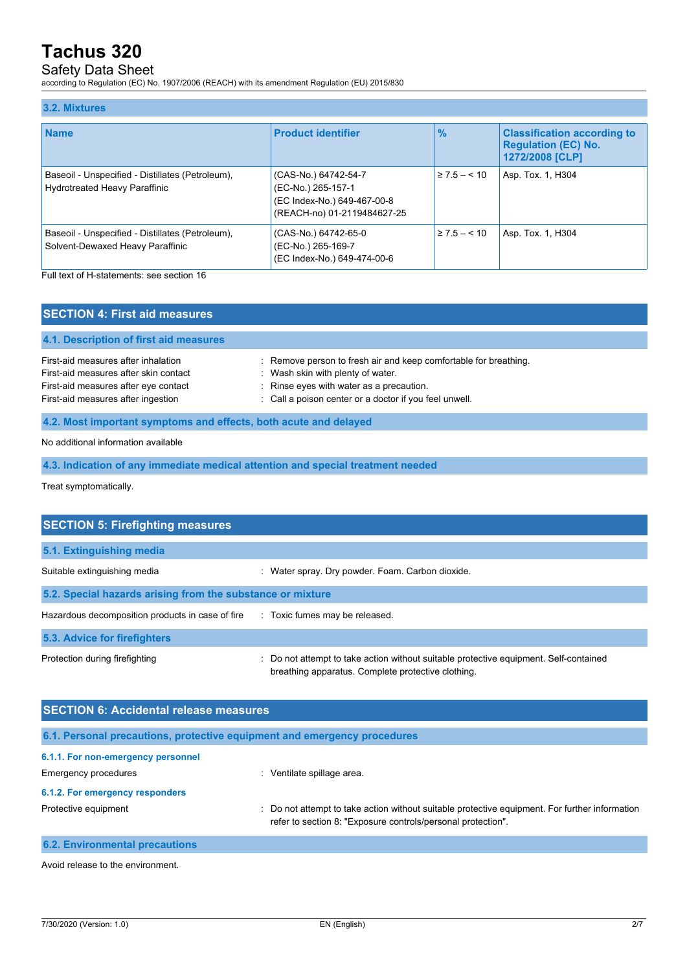## Safety Data Sheet

according to Regulation (EC) No. 1907/2006 (REACH) with its amendment Regulation (EU) 2015/830

#### **3.2. Mixtures Name Product identifier % Classification according to Regulation (EC) No. 1272/2008 [CLP]** Baseoil - Unspecified - Distillates (Petroleum), Hydrotreated Heavy Paraffinic (CAS-No.) 64742-54-7 (EC-No.) 265-157-1 (EC Index-No.) 649-467-00-8 (REACH-no) 01-2119484627-25 ≥ 7.5 – < 10 Asp. Tox. 1, H304 Baseoil - Unspecified - Distillates (Petroleum), Solvent-Dewaxed Heavy Paraffinic (CAS-No.) 64742-65-0 (EC-No.) 265-169-7 (EC Index-No.) 649-474-00-6 ≥ 7.5 – < 10 Asp. Tox. 1, H304

Full text of H-statements: see section 16

| <b>SECTION 4: First aid measures</b>                                         |                                                                                                       |  |
|------------------------------------------------------------------------------|-------------------------------------------------------------------------------------------------------|--|
| 4.1. Description of first aid measures                                       |                                                                                                       |  |
| First-aid measures after inhalation<br>First-aid measures after skin contact | : Remove person to fresh air and keep comfortable for breathing.<br>: Wash skin with plenty of water. |  |
| First-aid measures after eye contact<br>First-aid measures after ingestion   | : Rinse eyes with water as a precaution.<br>: Call a poison center or a doctor if you feel unwell.    |  |
| 4.2. Most important symptoms and effects, both acute and delayed             |                                                                                                       |  |

No additional information available

**4.3. Indication of any immediate medical attention and special treatment needed**

Treat symptomatically.

| <b>SECTION 5: Firefighting measures</b>                    |                                                                                                                                             |  |  |
|------------------------------------------------------------|---------------------------------------------------------------------------------------------------------------------------------------------|--|--|
| 5.1. Extinguishing media                                   |                                                                                                                                             |  |  |
| Suitable extinguishing media                               | : Water spray. Dry powder. Foam. Carbon dioxide.                                                                                            |  |  |
| 5.2. Special hazards arising from the substance or mixture |                                                                                                                                             |  |  |
| Hazardous decomposition products in case of fire           | : Toxic fumes may be released.                                                                                                              |  |  |
| 5.3. Advice for firefighters                               |                                                                                                                                             |  |  |
| Protection during firefighting                             | : Do not attempt to take action without suitable protective equipment. Self-contained<br>breathing apparatus. Complete protective clothing. |  |  |

| <b>SECTION 6: Accidental release measures</b>                            |                                                                                                                                                                    |  |
|--------------------------------------------------------------------------|--------------------------------------------------------------------------------------------------------------------------------------------------------------------|--|
| 6.1. Personal precautions, protective equipment and emergency procedures |                                                                                                                                                                    |  |
| 6.1.1. For non-emergency personnel                                       |                                                                                                                                                                    |  |
| Emergency procedures                                                     | : Ventilate spillage area.                                                                                                                                         |  |
| 6.1.2. For emergency responders                                          |                                                                                                                                                                    |  |
| Protective equipment                                                     | Do not attempt to take action without suitable protective equipment. For further information<br>÷.<br>refer to section 8: "Exposure controls/personal protection". |  |
| <b>6.2. Environmental precautions</b>                                    |                                                                                                                                                                    |  |

Avoid release to the environment.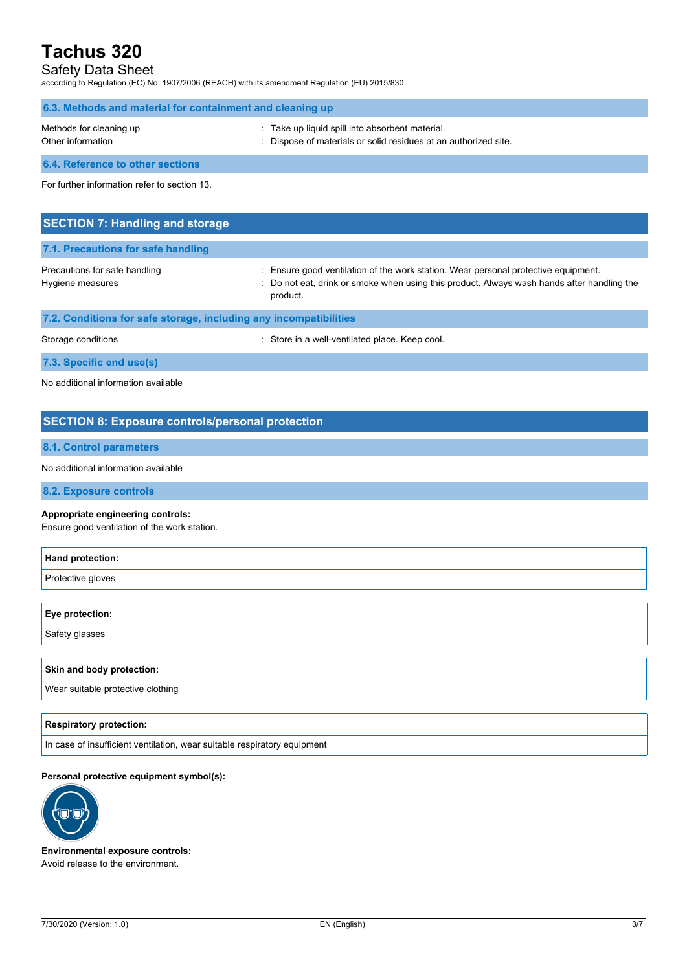## Safety Data Sheet

according to Regulation (EC) No. 1907/2006 (REACH) with its amendment Regulation (EU) 2015/830

| 6.3. Methods and material for containment and cleaning up |                                                                                                                    |  |
|-----------------------------------------------------------|--------------------------------------------------------------------------------------------------------------------|--|
| Methods for cleaning up<br>Other information              | : Take up liquid spill into absorbent material.<br>: Dispose of materials or solid residues at an authorized site. |  |
| 6.4. Reference to other sections                          |                                                                                                                    |  |
| For further information refer to section 13.              |                                                                                                                    |  |
|                                                           |                                                                                                                    |  |
| <b>SECTION 7: Handling and storage</b>                    |                                                                                                                    |  |

| 7.1. Precautions for safe handling                                |                                                                                                                                                                                              |
|-------------------------------------------------------------------|----------------------------------------------------------------------------------------------------------------------------------------------------------------------------------------------|
| Precautions for safe handling<br>Hygiene measures                 | : Ensure good ventilation of the work station. Wear personal protective equipment.<br>: Do not eat, drink or smoke when using this product. Always wash hands after handling the<br>product. |
| 7.2. Conditions for safe storage, including any incompatibilities |                                                                                                                                                                                              |

| Storage conditions       | Store in a well-ventilated place. Keep cool. |
|--------------------------|----------------------------------------------|
| 7.3. Specific end use(s) |                                              |

No additional information available

## **SECTION 8: Exposure controls/personal protection**

### **8.1. Control parameters**

No additional information available

**8.2. Exposure controls**

#### **Appropriate engineering controls:**

Ensure good ventilation of the work station.

| Hand protection:                  |  |
|-----------------------------------|--|
| Protective gloves                 |  |
|                                   |  |
| Eye protection:                   |  |
| Safety glasses                    |  |
|                                   |  |
| Skin and body protection:         |  |
| Wear suitable protective clothing |  |
|                                   |  |

#### **Respiratory protection:**

In case of insufficient ventilation, wear suitable respiratory equipment

#### **Personal protective equipment symbol(s):**



**Environmental exposure controls:** Avoid release to the environment.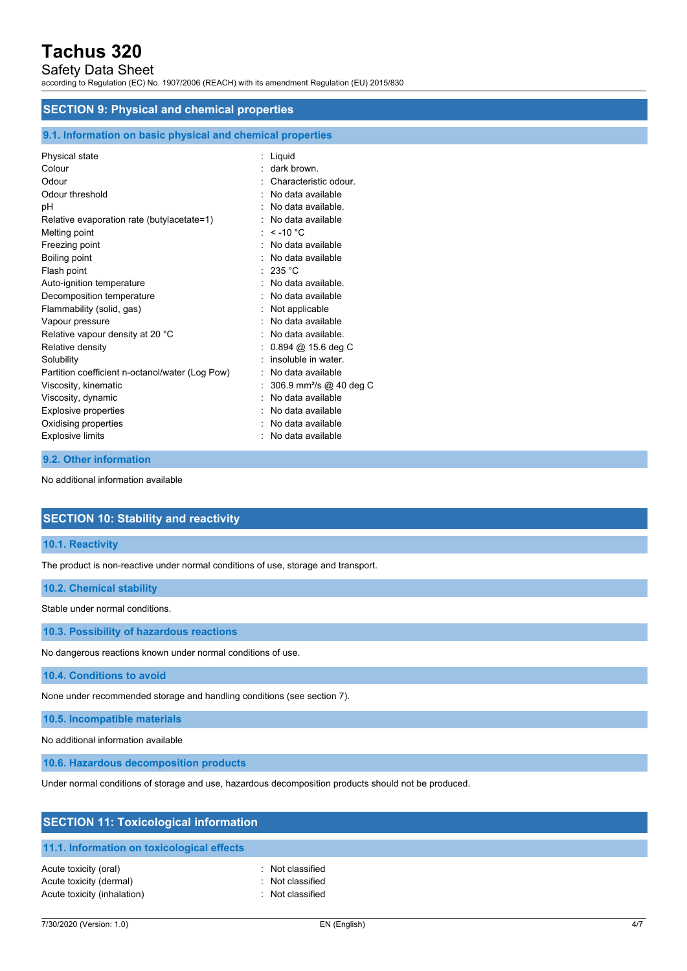## Safety Data Sheet

according to Regulation (EC) No. 1907/2006 (REACH) with its amendment Regulation (EU) 2015/830

#### **SECTION 9: Physical and chemical properties**

#### **9.1. Information on basic physical and chemical properties**

| Physical state                                  | : Liquid                            |
|-------------------------------------------------|-------------------------------------|
| Colour                                          | dark brown.                         |
| Odour                                           | Characteristic odour.               |
| Odour threshold                                 | No data available                   |
| pH                                              | No data available.                  |
| Relative evaporation rate (butylacetate=1)      | No data available                   |
| Melting point                                   | : $<$ -10 °C                        |
| Freezing point                                  | No data available                   |
| Boiling point                                   | $:$ No data available               |
| Flash point                                     | : 235 °C                            |
| Auto-ignition temperature                       | : No data available.                |
| Decomposition temperature                       | No data available                   |
| Flammability (solid, gas)                       | Not applicable                      |
| Vapour pressure                                 | No data available                   |
| Relative vapour density at 20 °C                | : No data available.                |
| Relative density                                | $0.894 \; @.15.6 \deg C$            |
| Solubility                                      | insoluble in water.                 |
| Partition coefficient n-octanol/water (Log Pow) | No data available                   |
| Viscosity, kinematic                            | 306.9 mm <sup>2</sup> /s @ 40 deg C |
| Viscosity, dynamic                              | No data available                   |
| <b>Explosive properties</b>                     | No data available                   |
| Oxidising properties                            | No data available                   |
| <b>Explosive limits</b>                         | No data available                   |

### **9.2. Other information**

No additional information available

### **SECTION 10: Stability and reactivity**

#### **10.1. Reactivity**

The product is non-reactive under normal conditions of use, storage and transport.

#### **10.2. Chemical stability**

Stable under normal conditions.

**10.3. Possibility of hazardous reactions**

No dangerous reactions known under normal conditions of use.

**10.4. Conditions to avoid**

None under recommended storage and handling conditions (see section 7).

**10.5. Incompatible materials**

No additional information available

**10.6. Hazardous decomposition products**

Under normal conditions of storage and use, hazardous decomposition products should not be produced.

| <b>SECTION 11: Toxicological information</b> |                  |  |
|----------------------------------------------|------------------|--|
| 11.1. Information on toxicological effects   |                  |  |
| Acute toxicity (oral)                        | : Not classified |  |
| Acute toxicity (dermal)                      | : Not classified |  |
| Acute toxicity (inhalation)                  | Not classified   |  |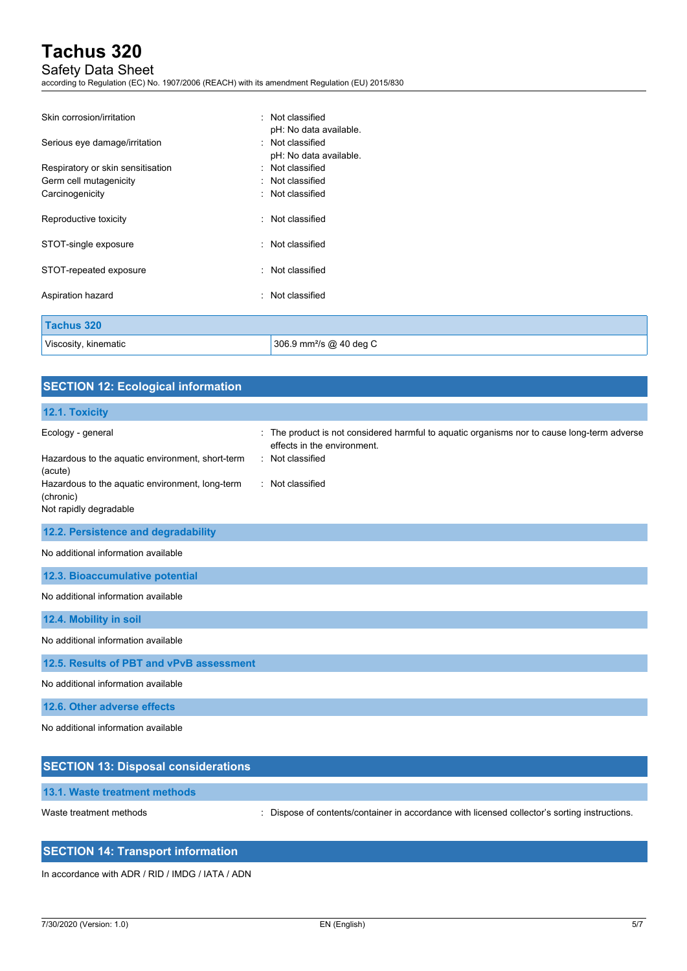## Safety Data Sheet

according to Regulation (EC) No. 1907/2006 (REACH) with its amendment Regulation (EU) 2015/830

| Skin corrosion/irritation                                                                    | : Not classified<br>pH: No data available.                                         |
|----------------------------------------------------------------------------------------------|------------------------------------------------------------------------------------|
| Serious eye damage/irritation<br>Respiratory or skin sensitisation<br>Germ cell mutagenicity | : Not classified<br>pH: No data available.<br>: Not classified<br>: Not classified |
| Carcinogenicity                                                                              | : Not classified                                                                   |
| Reproductive toxicity                                                                        | : Not classified                                                                   |
| STOT-single exposure                                                                         | : Not classified                                                                   |
| STOT-repeated exposure                                                                       | : Not classified                                                                   |
| Aspiration hazard                                                                            | : Not classified                                                                   |
| <b>Tachus 320</b>                                                                            |                                                                                    |
| Viscosity, kinematic                                                                         | 306.9 mm <sup>2</sup> /s @ 40 deg C                                                |

| <b>SECTION 12: Ecological information</b>                                              |                                                                                                                                                |
|----------------------------------------------------------------------------------------|------------------------------------------------------------------------------------------------------------------------------------------------|
| 12.1. Toxicity                                                                         |                                                                                                                                                |
| Ecology - general<br>Hazardous to the aquatic environment, short-term<br>(acute)       | : The product is not considered harmful to aquatic organisms nor to cause long-term adverse<br>effects in the environment.<br>: Not classified |
| Hazardous to the aquatic environment, long-term<br>(chronic)<br>Not rapidly degradable | : Not classified                                                                                                                               |
| 12.2. Persistence and degradability                                                    |                                                                                                                                                |
| No additional information available                                                    |                                                                                                                                                |
| 12.3. Bioaccumulative potential                                                        |                                                                                                                                                |
| No additional information available                                                    |                                                                                                                                                |
| 12.4. Mobility in soil                                                                 |                                                                                                                                                |
| No additional information available                                                    |                                                                                                                                                |
| 12.5. Results of PBT and vPvB assessment                                               |                                                                                                                                                |
| No additional information available                                                    |                                                                                                                                                |
| 12.6. Other adverse effects                                                            |                                                                                                                                                |
| No additional information available                                                    |                                                                                                                                                |
| <b>SECTION 13: Disposal considerations</b>                                             |                                                                                                                                                |

**13.1. Waste treatment methods**

Waste treatment methods : Dispose of contents/container in accordance with licensed collector's sorting instructions.

## **SECTION 14: Transport information**

In accordance with ADR / RID / IMDG / IATA / ADN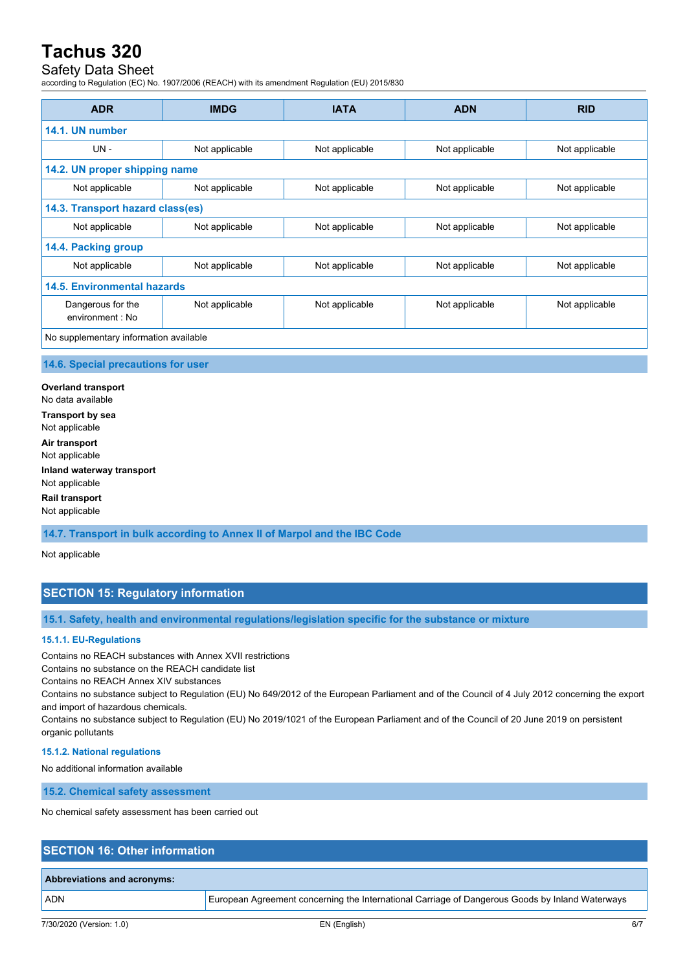## Safety Data Sheet

according to Regulation (EC) No. 1907/2006 (REACH) with its amendment Regulation (EU) 2015/830

| <b>ADR</b>                             | <b>IMDG</b>    | <b>IATA</b>    | <b>ADN</b>     | <b>RID</b>     |
|----------------------------------------|----------------|----------------|----------------|----------------|
| 14.1. UN number                        |                |                |                |                |
| UN-                                    | Not applicable | Not applicable | Not applicable | Not applicable |
| 14.2. UN proper shipping name          |                |                |                |                |
| Not applicable                         | Not applicable | Not applicable | Not applicable | Not applicable |
| 14.3. Transport hazard class(es)       |                |                |                |                |
| Not applicable                         | Not applicable | Not applicable | Not applicable | Not applicable |
| 14.4. Packing group                    |                |                |                |                |
| Not applicable                         | Not applicable | Not applicable | Not applicable | Not applicable |
| 14.5. Environmental hazards            |                |                |                |                |
| Dangerous for the<br>environment : No  | Not applicable | Not applicable | Not applicable | Not applicable |
| No supplementary information available |                |                |                |                |

#### **14.6. Special precautions for user**

**Overland transport** No data available **Transport by sea** Not applicable **Air transport** Not applicable **Inland waterway transport** Not applicable

**Rail transport**

Not applicable

**14.7. Transport in bulk according to Annex II of Marpol and the IBC Code**

Not applicable

## **SECTION 15: Regulatory information**

**15.1. Safety, health and environmental regulations/legislation specific for the substance or mixture**

#### **15.1.1. EU-Regulations**

Contains no REACH substances with Annex XVII restrictions

Contains no substance on the REACH candidate list

Contains no REACH Annex XIV substances

Contains no substance subject to Regulation (EU) No 649/2012 of the European Parliament and of the Council of 4 July 2012 concerning the export and import of hazardous chemicals.

Contains no substance subject to Regulation (EU) No 2019/1021 of the European Parliament and of the Council of 20 June 2019 on persistent organic pollutants

#### **15.1.2. National regulations**

No additional information available

**15.2. Chemical safety assessment**

No chemical safety assessment has been carried out

## **SECTION 16: Other information**

## **Abbreviations and acronyms:**

ADN European Agreement concerning the International Carriage of Dangerous Goods by Inland Waterways